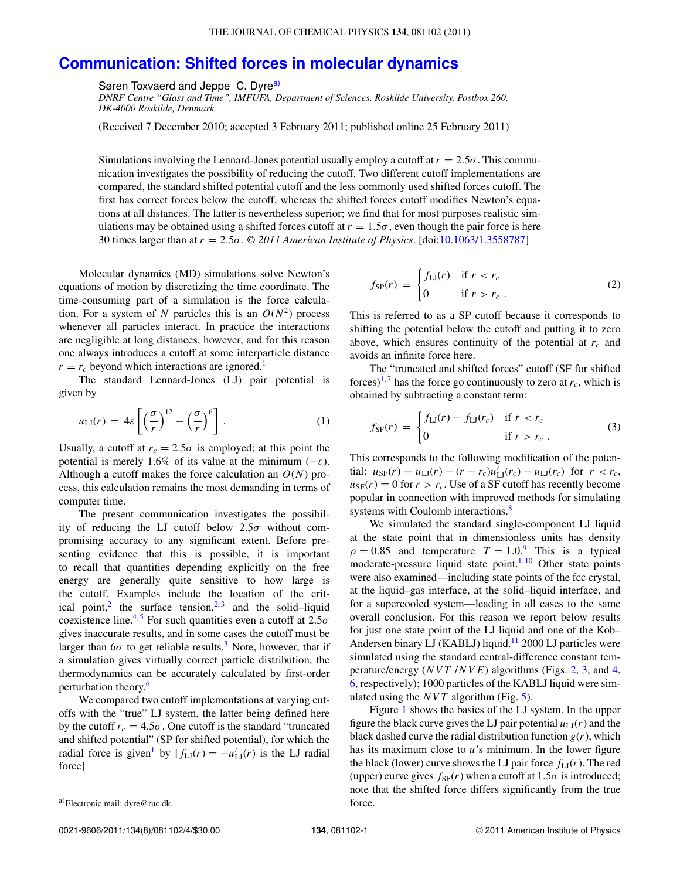## **[Communication: Shifted forces in molecular dynamics](http://dx.doi.org/10.1063/1.3558787)**

Søren Toxvaerd and Jeppe C. Dyr[ea\)](#page-0-0)

*DNRF Centre "Glass and Time", IMFUFA, Department of Sciences, Roskilde University, Postbox 260, DK-4000 Roskilde, Denmark*

(Received 7 December 2010; accepted 3 February 2011; published online 25 February 2011)

Simulations involving the Lennard-Jones potential usually employ a cutoff at  $r = 2.5\sigma$ . This communication investigates the possibility of reducing the cutoff. Two different cutoff implementations are compared, the standard shifted potential cutoff and the less commonly used shifted forces cutoff. The first has correct forces below the cutoff, whereas the shifted forces cutoff modifies Newton's equations at all distances. The latter is nevertheless superior; we find that for most purposes realistic simulations may be obtained using a shifted forces cutoff at  $r = 1.5\sigma$ , even though the pair force is here 30 times larger than at *r* = 2.5σ. *© 2011 American Institute of Physics*. [doi[:10.1063/1.3558787\]](http://dx.doi.org/10.1063/1.3558787)

Molecular dynamics (MD) simulations solve Newton's equations of motion by discretizing the time coordinate. The time-consuming part of a simulation is the force calculation. For a system of N particles this is an  $O(N^2)$  process whenever all particles interact. In practice the interactions are negligible at long distances, however, and for this reason one always introduces a cutoff at some interparticle distance  $r = r_c$  beyond which interactions are ignored.<sup>1</sup>

The standard Lennard-Jones (LJ) pair potential is given by

$$
u_{\text{LI}}(r) = 4\varepsilon \left[ \left( \frac{\sigma}{r} \right)^{12} - \left( \frac{\sigma}{r} \right)^6 \right]. \tag{1}
$$

Usually, a cutoff at  $r_c = 2.5\sigma$  is employed; at this point the potential is merely 1.6% of its value at the minimum  $(-\varepsilon)$ . Although a cutoff makes the force calculation an *O*(*N*) process, this calculation remains the most demanding in terms of computer time.

The present communication investigates the possibility of reducing the LJ cutoff below  $2.5\sigma$  without compromising accuracy to any significant extent. Before presenting evidence that this is possible, it is important to recall that quantities depending explicitly on the free energy are generally quite sensitive to how large is the cutoff. Examples include the location of the crit-ical point,<sup>[2](#page-3-1)</sup> the surface tension,<sup>[2,](#page-3-1)[3](#page-3-2)</sup> and the solid–liquid coexistence line.<sup>[4,](#page-3-3)[5](#page-3-4)</sup> For such quantities even a cutoff at  $2.5\sigma$ gives inaccurate results, and in some cases the cutoff must be larger than 6 $\sigma$  to get reliable results.<sup>3</sup> Note, however, that if a simulation gives virtually correct particle distribution, the thermodynamics can be accurately calculated by first-order perturbation theory.<sup>6</sup>

We compared two cutoff implementations at varying cutoffs with the "true" LJ system, the latter being defined here by the cutoff  $r_c = 4.5\sigma$ . One cutoff is the standard "truncated" and shifted potential" (SP for shifted potential), for which the radial force is given<sup>[1](#page-3-0)</sup> by  $[f_{LJ}(r) = -u'_{LJ}(r)]$  is the LJ radial force]

$$
f_{\rm SP}(r) = \begin{cases} f_{\rm LJ}(r) & \text{if } r < r_c \\ 0 & \text{if } r > r_c \end{cases} \tag{2}
$$

This is referred to as a SP cutoff because it corresponds to shifting the potential below the cutoff and putting it to zero above, which ensures continuity of the potential at  $r_c$  and avoids an infinite force here.

The "truncated and shifted forces" cutoff (SF for shifted forces)<sup>1,[7](#page-3-6)</sup> has the force go continuously to zero at  $r_c$ , which is obtained by subtracting a constant term:

<span id="page-0-1"></span>
$$
f_{\rm SF}(r) = \begin{cases} f_{\rm LJ}(r) - f_{\rm LJ}(r_c) & \text{if } r < r_c \\ 0 & \text{if } r > r_c \end{cases}
$$
 (3)

This corresponds to the following modification of the poten- $\text{trial: } u_{\text{SF}}(r) = u_{\text{LI}}(r) - (r - r_c)u'_{\text{LI}}(r_c) - u_{\text{LI}}(r_c) \text{ for } r < r_c,$  $u_{\rm SF}(r) = 0$  for  $r > r_c$ . Use of a SF cutoff has recently become popular in connection with improved methods for simulating systems with Coulomb interactions.<sup>[8](#page-3-7)</sup>

We simulated the standard single-component LJ liquid at the state point that in dimensionless units has density  $\rho = 0.85$  and temperature  $T = 1.0$ .<sup>[9](#page-3-8)</sup> This is a typical moderate-pressure liquid state point.<sup>1, [10](#page-3-9)</sup> Other state points were also examined—including state points of the fcc crystal, at the liquid–gas interface, at the solid–liquid interface, and for a supercooled system—leading in all cases to the same overall conclusion. For this reason we report below results for just one state point of the LJ liquid and one of the Kob– Andersen binary LJ (KABLJ) liquid.<sup>11</sup> 2000 LJ particles were simulated using the standard central-difference constant temperature/energy (*NVT* /*NVE*) algorithms (Figs. [2,](#page-1-0) [3,](#page-1-1) and [4,](#page-2-0) [6,](#page-2-1) respectively); 1000 particles of the KABLJ liquid were simulated using the *NVT* algorithm (Fig. [5\)](#page-2-2).

Figure [1](#page-1-2) shows the basics of the LJ system. In the upper figure the black curve gives the LJ pair potential  $u_{\text{LJ}}(r)$  and the black dashed curve the radial distribution function  $g(r)$ , which has its maximum close to *u*'s minimum. In the lower figure the black (lower) curve shows the LJ pair force  $f_{LJ}(r)$ . The red (upper) curve gives  $f_{SF}(r)$  when a cutoff at  $1.5\sigma$  is introduced; note that the shifted force differs significantly from the true force.

<span id="page-0-0"></span>a)Electronic mail: [dyre@ruc.dk.](mailto: dyre@ruc.dk)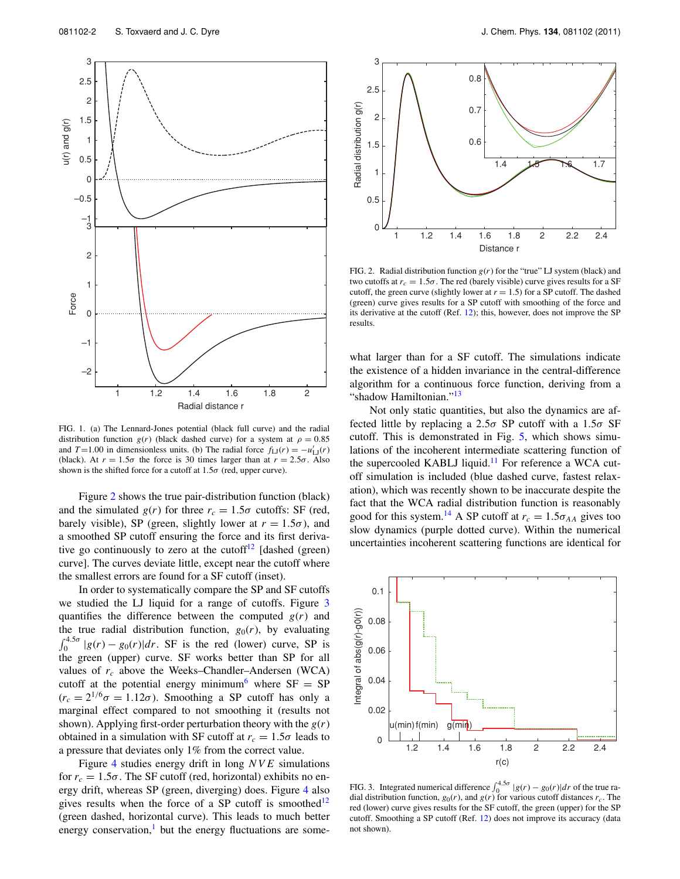<span id="page-1-2"></span>

FIG. 1. (a) The Lennard-Jones potential (black full curve) and the radial distribution function  $g(r)$  (black dashed curve) for a system at  $\rho = 0.85$ and *T*=1.00 in dimensionless units. (b) The radial force  $f_{\text{LJ}}(r) = -u'_{\text{LJ}}(r)$ (black). At  $r = 1.5\sigma$  the force is 30 times larger than at  $r = 2.5\sigma$ . Also shown is the shifted force for a cutoff at  $1.5\sigma$  (red, upper curve).

Figure [2](#page-1-0) shows the true pair-distribution function (black) and the simulated  $g(r)$  for three  $r_c = 1.5\sigma$  cutoffs: SF (red, barely visible), SP (green, slightly lower at  $r = 1.5\sigma$ ), and a smoothed SP cutoff ensuring the force and its first deriva-tive go continuously to zero at the cutoff<sup>[12](#page-3-11)</sup> [dashed (green) curve]. The curves deviate little, except near the cutoff where the smallest errors are found for a SF cutoff (inset).

In order to systematically compare the SP and SF cutoffs we studied the LJ liquid for a range of cutoffs. Figure [3](#page-1-1) quantifies the difference between the computed  $g(r)$  and the true radial distribution function,  $g_0(r)$ , by evaluating  $\int_0^{4.5\sigma} |g(r) - g_0(r)| dr$ . SF is the red (lower) curve, SP is the green (upper) curve. SF works better than SP for all values of  $r_c$  above the Weeks–Chandler–Andersen (WCA) cutoff at the potential energy minimum<sup>[6](#page-3-5)</sup> where  $SF = SP$  $(r_c = 2^{1/6}\sigma = 1.12\sigma)$ . Smoothing a SP cutoff has only a marginal effect compared to not smoothing it (results not shown). Applying first-order perturbation theory with the *g*(*r*) obtained in a simulation with SF cutoff at  $r_c = 1.5\sigma$  leads to a pressure that deviates only 1% from the correct value.

Figure [4](#page-2-0) studies energy drift in long *NVE* simulations for  $r_c = 1.5\sigma$ . The SF cutoff (red, horizontal) exhibits no energy drift, whereas SP (green, diverging) does. Figure [4](#page-2-0) also gives results when the force of a SP cutoff is smoothed<sup>12</sup> (green dashed, horizontal curve). This leads to much better energy conservation, $<sup>1</sup>$  but the energy fluctuations are some-</sup>

<span id="page-1-0"></span>

FIG. 2. Radial distribution function *g*(*r*) for the "true" LJ system (black) and two cutoffs at  $r_c = 1.5\sigma$ . The red (barely visible) curve gives results for a SF cutoff, the green curve (slightly lower at  $r = 1.5$ ) for a SP cutoff. The dashed (green) curve gives results for a SP cutoff with smoothing of the force and its derivative at the cutoff (Ref. [12\)](#page-3-11); this, however, does not improve the SP results.

what larger than for a SF cutoff. The simulations indicate the existence of a hidden invariance in the central-difference algorithm for a continuous force function, deriving from a "shadow Hamiltonian."<sup>[13](#page-3-12)</sup>

Not only static quantities, but also the dynamics are affected little by replacing a 2.5 $\sigma$  SP cutoff with a 1.5 $\sigma$  SF cutoff. This is demonstrated in Fig. [5,](#page-2-2) which shows simulations of the incoherent intermediate scattering function of the supercooled KABLJ liquid. $11$  For reference a WCA cutoff simulation is included (blue dashed curve, fastest relaxation), which was recently shown to be inaccurate despite the fact that the WCA radial distribution function is reasonably good for this system.<sup>[14](#page-3-13)</sup> A SP cutoff at  $r_c = 1.5\sigma_{AA}$  gives too slow dynamics (purple dotted curve). Within the numerical uncertainties incoherent scattering functions are identical for

<span id="page-1-1"></span> 0.1 Integral of  $abs(g(r)-g(0))$ Integral of abs(g(r)-g0(r) 0.08 0.06 0.04 0.02 u(min) f(min) g(min 0 1.2 1.4 1.6 1.8 2 2.2 2.4 r(c)

FIG. 3. Integrated numerical difference  $\int_0^{4.5\sigma} |g(r) - g_0(r)| dr$  of the true radial distribution function,  $g_0(r)$ , and  $g(r)$  for various cutoff distances  $r_c$ . The red (lower) curve gives results for the SF cutoff, the green (upper) for the SP cutoff. Smoothing a SP cutoff (Ref. [12\)](#page-3-11) does not improve its accuracy (data not shown).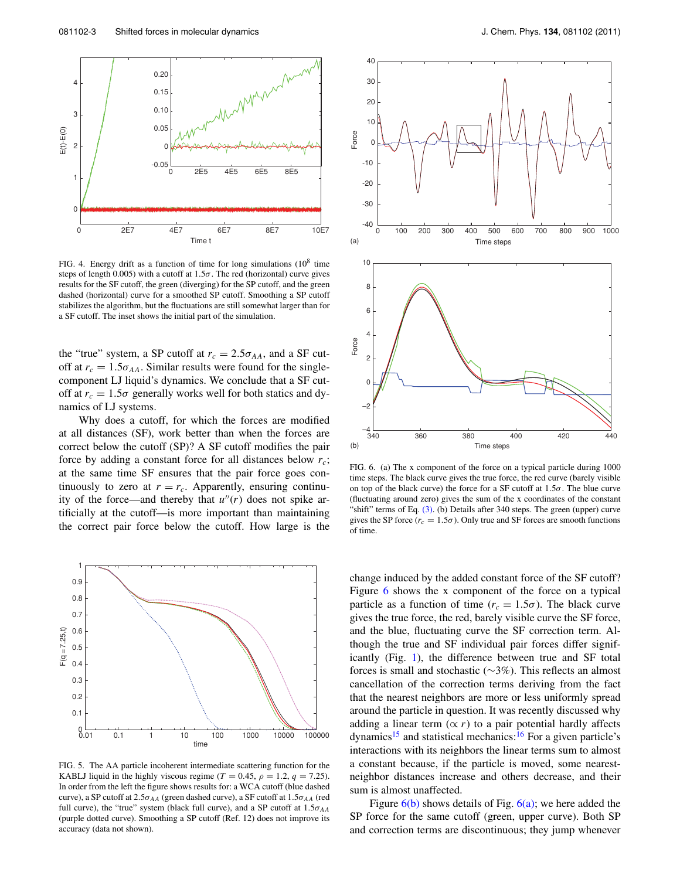<span id="page-2-0"></span>

FIG. 4. Energy drift as a function of time for long simulations  $(10^8$  time steps of length 0.005) with a cutoff at  $1.5\sigma$ . The red (horizontal) curve gives results for the SF cutoff, the green (diverging) for the SP cutoff, and the green dashed (horizontal) curve for a smoothed SP cutoff. Smoothing a SP cutoff stabilizes the algorithm, but the fluctuations are still somewhat larger than for a SF cutoff. The inset shows the initial part of the simulation.

the "true" system, a SP cutoff at  $r_c = 2.5\sigma_{AA}$ , and a SF cutoff at  $r_c = 1.5\sigma_{AA}$ . Similar results were found for the singlecomponent LJ liquid's dynamics. We conclude that a SF cutoff at  $r_c = 1.5\sigma$  generally works well for both statics and dynamics of LJ systems.

Why does a cutoff, for which the forces are modified at all distances (SF), work better than when the forces are correct below the cutoff (SP)? A SF cutoff modifies the pair force by adding a constant force for all distances below *rc*; at the same time SF ensures that the pair force goes continuously to zero at  $r = r_c$ . Apparently, ensuring continuity of the force—and thereby that  $u''(r)$  does not spike artificially at the cutoff—is more important than maintaining the correct pair force below the cutoff. How large is the

<span id="page-2-2"></span>

FIG. 5. The AA particle incoherent intermediate scattering function for the KABLJ liquid in the highly viscous regime ( $T = 0.45$ ,  $\rho = 1.2$ ,  $q = 7.25$ ). In order from the left the figure shows results for: a WCA cutoff (blue dashed curve), a SP cutoff at  $2.5\sigma_{AA}$  (green dashed curve), a SF cutoff at  $1.5\sigma_{AA}$  (red full curve), the "true" system (black full curve), and a SP cutoff at  $1.5\sigma_{AA}$ (purple dotted curve). Smoothing a SP cutoff (Ref. 12) does not improve its accuracy (data not shown).

<span id="page-2-1"></span>

FIG. 6. (a) The x component of the force on a typical particle during 1000 time steps. The black curve gives the true force, the red curve (barely visible on top of the black curve) the force for a SF cutoff at  $1.5\sigma$ . The blue curve (fluctuating around zero) gives the sum of the x coordinates of the constant "shift" terms of Eq.  $(3)$ . (b) Details after 340 steps. The green (upper) curve gives the SP force ( $r_c = 1.5\sigma$ ). Only true and SF forces are smooth functions of time.

change induced by the added constant force of the SF cutoff? Figure [6](#page-2-1) shows the x component of the force on a typical particle as a function of time ( $r_c = 1.5\sigma$ ). The black curve gives the true force, the red, barely visible curve the SF force, and the blue, fluctuating curve the SF correction term. Although the true and SF individual pair forces differ significantly (Fig. [1\)](#page-1-2), the difference between true and SF total forces is small and stochastic (∼3%). This reflects an almost cancellation of the correction terms deriving from the fact that the nearest neighbors are more or less uniformly spread around the particle in question. It was recently discussed why adding a linear term  $(\propto r)$  to a pair potential hardly affects dynamics<sup>[15](#page-3-14)</sup> and statistical mechanics:<sup>16</sup> For a given particle's interactions with its neighbors the linear terms sum to almost a constant because, if the particle is moved, some nearestneighbor distances increase and others decrease, and their sum is almost unaffected.

Figure  $6(b)$  shows details of Fig.  $6(a)$ ; we here added the SP force for the same cutoff (green, upper curve). Both SP and correction terms are discontinuous; they jump whenever